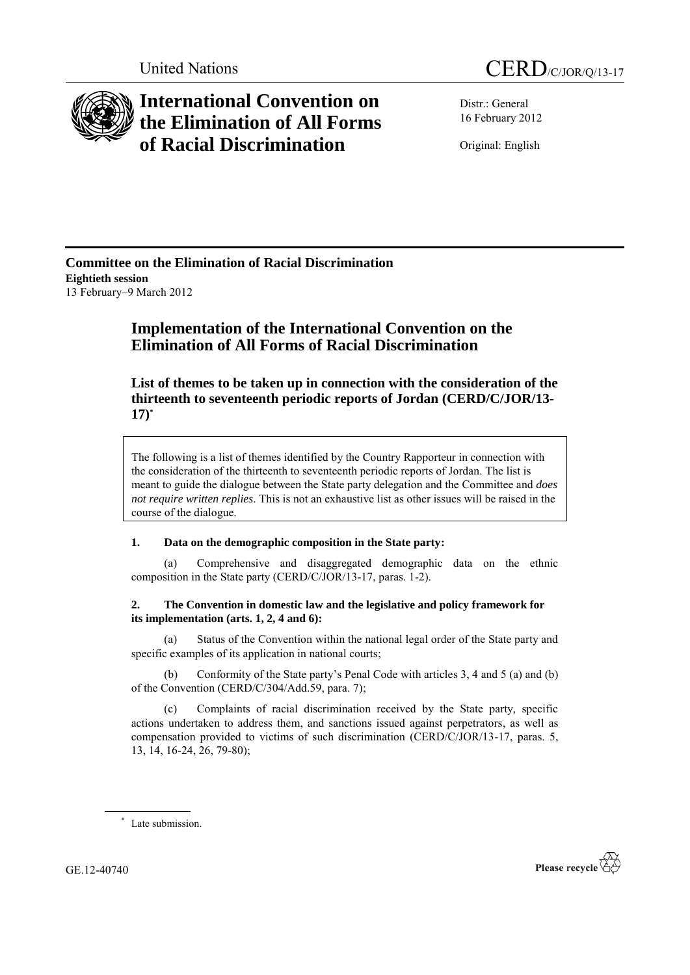

# **International Convention on the Elimination of All Forms of Racial Discrimination**

Distr.: General 16 February 2012

Original: English

**Committee on the Elimination of Racial Discrimination Eightieth session** 13 February–9 March 2012

# **Implementation of the International Convention on the Elimination of All Forms of Racial Discrimination**

**List of themes to be taken up in connection with the consideration of the thirteenth to seventeenth periodic reports of Jordan (CERD/C/JOR/13- 17)\***

The following is a list of themes identified by the Country Rapporteur in connection with the consideration of the thirteenth to seventeenth periodic reports of Jordan. The list is meant to guide the dialogue between the State party delegation and the Committee and *does not require written replies*. This is not an exhaustive list as other issues will be raised in the course of the dialogue.

### **1. Data on the demographic composition in the State party:**

(a) Comprehensive and disaggregated demographic data on the ethnic composition in the State party (CERD/C/JOR/13-17, paras. 1-2).

## **2. The Convention in domestic law and the legislative and policy framework for its implementation (arts. 1, 2, 4 and 6):**

(a) Status of the Convention within the national legal order of the State party and specific examples of its application in national courts;

(b) Conformity of the State party's Penal Code with articles 3, 4 and 5 (a) and (b) of the Convention (CERD/C/304/Add.59, para. 7);

(c) Complaints of racial discrimination received by the State party, specific actions undertaken to address them, and sanctions issued against perpetrators, as well as compensation provided to victims of such discrimination (CERD/C/JOR/13-17, paras. 5, 13, 14, 16-24, 26, 79-80);

\* Late submission.

GE.12-40740